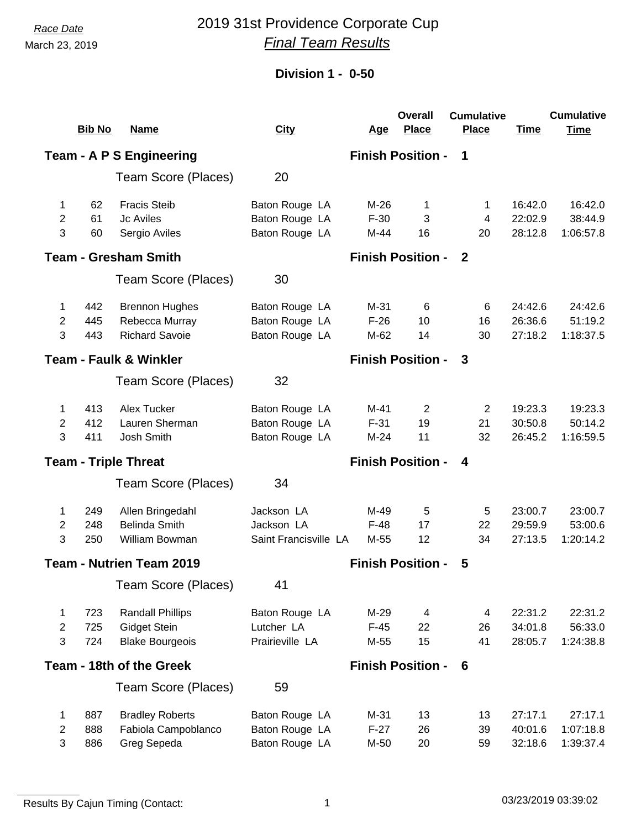March 23, 2019

## *Race Date* 2019 31st Providence Corporate Cup *Final Team Results*

## **Division 1 - 0-50**

|                                 | <b>Bib No</b> | <b>Name</b>                       | <b>City</b>           | <u>Age</u>               | <b>Overall</b><br><b>Place</b> | <b>Cumulative</b><br><b>Place</b> | <b>Time</b> | <b>Cumulative</b><br><b>Time</b> |
|---------------------------------|---------------|-----------------------------------|-----------------------|--------------------------|--------------------------------|-----------------------------------|-------------|----------------------------------|
|                                 |               | <b>Team - A P S Engineering</b>   |                       |                          | <b>Finish Position -</b>       | $\mathbf 1$                       |             |                                  |
|                                 |               | Team Score (Places)               | 20                    |                          |                                |                                   |             |                                  |
| 1                               | 62            | <b>Fracis Steib</b>               | Baton Rouge LA        | $M-26$                   | 1                              | $\mathbf{1}$                      | 16:42.0     | 16:42.0                          |
| 2                               | 61            | Jc Aviles                         | Baton Rouge LA        | $F-30$                   | 3                              | 4                                 | 22:02.9     | 38:44.9                          |
| 3                               | 60            | Sergio Aviles                     | Baton Rouge LA        | M-44                     | 16                             | 20                                | 28:12.8     | 1:06:57.8                        |
|                                 |               | <b>Team - Gresham Smith</b>       |                       |                          | <b>Finish Position -</b>       | $\mathbf{2}$                      |             |                                  |
|                                 |               | Team Score (Places)               | 30                    |                          |                                |                                   |             |                                  |
| 1                               | 442           | <b>Brennon Hughes</b>             | Baton Rouge LA        | M-31                     | 6                              | 6                                 | 24:42.6     | 24:42.6                          |
| 2                               | 445           | Rebecca Murray                    | Baton Rouge LA        | $F-26$                   | 10                             | 16                                | 26:36.6     | 51:19.2                          |
| 3                               | 443           | <b>Richard Savoie</b>             | Baton Rouge LA        | M-62                     | 14                             | 30                                | 27:18.2     | 1:18:37.5                        |
|                                 |               | <b>Team - Faulk &amp; Winkler</b> |                       |                          | <b>Finish Position -</b>       | 3                                 |             |                                  |
|                                 |               | Team Score (Places)               | 32                    |                          |                                |                                   |             |                                  |
| 1                               | 413           | Alex Tucker                       | Baton Rouge LA        | $M-41$                   | 2                              | 2                                 | 19:23.3     | 19:23.3                          |
| 2                               | 412           | Lauren Sherman                    | Baton Rouge LA        | $F-31$                   | 19                             | 21                                | 30:50.8     | 50:14.2                          |
| 3                               | 411           | Josh Smith                        | Baton Rouge LA        | $M-24$                   | 11                             | 32                                | 26:45.2     | 1:16:59.5                        |
| <b>Team - Triple Threat</b>     |               |                                   |                       | <b>Finish Position -</b> | 4                              |                                   |             |                                  |
|                                 |               | Team Score (Places)               | 34                    |                          |                                |                                   |             |                                  |
| 1                               | 249           | Allen Bringedahl                  | Jackson LA            | M-49                     | 5                              | 5                                 | 23:00.7     | 23:00.7                          |
| $\overline{2}$                  | 248           | <b>Belinda Smith</b>              | Jackson LA            | $F-48$                   | 17                             | 22                                | 29:59.9     | 53:00.6                          |
| 3                               | 250           | William Bowman                    | Saint Francisville LA | M-55                     | 12                             | 34                                | 27:13.5     | 1:20:14.2                        |
| <b>Team - Nutrien Team 2019</b> |               |                                   |                       |                          | <b>Finish Position -</b>       | 5                                 |             |                                  |
|                                 |               | Team Score (Places)               | 41                    |                          |                                |                                   |             |                                  |
| 1                               | 723           | <b>Randall Phillips</b>           | Baton Rouge LA        | $M-29$                   | $\overline{4}$                 | 4                                 | 22:31.2     | 22:31.2                          |
| $\overline{2}$                  | 725           | Gidget Stein                      | Lutcher LA            | $F-45$                   | 22                             | 26                                | 34:01.8     | 56:33.0                          |
| 3                               | 724           | <b>Blake Bourgeois</b>            | Prairieville LA       | M-55                     | 15                             | 41                                | 28:05.7     | 1:24:38.8                        |
|                                 |               | Team - 18th of the Greek          |                       |                          | <b>Finish Position -</b>       | 6                                 |             |                                  |
|                                 |               | Team Score (Places)               | 59                    |                          |                                |                                   |             |                                  |
| 1                               | 887           | <b>Bradley Roberts</b>            | Baton Rouge LA        | $M-31$                   | 13                             | 13                                | 27:17.1     | 27:17.1                          |
| $\mathbf{2}$                    | 888           | Fabiola Campoblanco               | Baton Rouge LA        | $F-27$                   | 26                             | 39                                | 40:01.6     | 1:07:18.8                        |
| $\mathbf{3}$                    | 886           | Greg Sepeda                       | Baton Rouge LA        | M-50                     | 20                             | 59                                | 32:18.6     | 1:39:37.4                        |